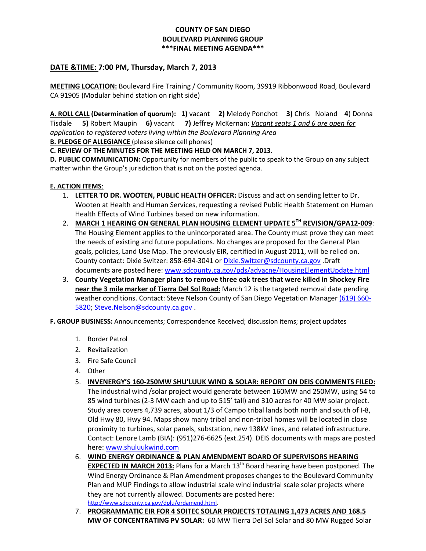## **COUNTY OF SAN DIEGO BOULEVARD PLANNING GROUP \*\*\*FINAL MEETING AGENDA\*\*\***

## **DATE &TIME: 7:00 PM, Thursday, March 7, 2013**

**MEETING LOCATION:** Boulevard Fire Training / Community Room, 39919 Ribbonwood Road, Boulevard CA 91905 (Modular behind station on right side)

**A. ROLL CALL (Determination of quorum): 1)** vacant **2)** Melody Ponchot **3)** Chris Noland **4**) Donna Tisdale **5)** Robert Maupin **6)** vacant **7)** Jeffrey McKernan: *Vacant seats 1 and 6 are open for application to registered voters living within the Boulevard Planning Area* 

**B. PLEDGE OF ALLEGIANCE** (please silence cell phones)

**C. REVIEW OF THE MINUTES FOR THE MEETING HELD ON MARCH 7, 2013.**

**D. PUBLIC COMMUNICATION:** Opportunity for members of the public to speak to the Group on any subject matter within the Group's jurisdiction that is not on the posted agenda.

## **E. ACTION ITEMS**:

- 1. **LETTER TO DR. WOOTEN, PUBLIC HEALTH OFFICER:** Discuss and act on sending letter to Dr. Wooten at Health and Human Services, requesting a revised Public Health Statement on Human Health Effects of Wind Turbines based on new information.
- 2. **MARCH 1 HEARING ON GENERAL PLAN HOUSING ELEMENT UPDATE 5TH REVISION/GPA12-009**: The Housing Element applies to the unincorporated area. The County must prove they can meet the needs of existing and future populations. No changes are proposed for the General Plan goals, policies, Land Use Map. The previously EIR, certified in August 2011, will be relied on. County contact: Dixie Switzer: 858-694-3041 or [Dixie.Switzer@sdcounty.ca.gov](mailto:Dixie.Switzer@sdcounty.ca.gov) .Draft documents are posted here: [www.sdcounty.ca.gov/pds/advacne/HousingElementUpdate.html](http://www.sdcounty.ca.gov/pds/advacne/HousingElementUpdate.html)
- 3. **County Vegetation Manager plans to remove three oak trees that were killed in Shockey Fire near the 3 mile marker of Tierra Del Sol Road:** March 12 is the targeted removal date pending weather conditions. Contact: Steve Nelson County of San Diego Vegetation Manager [\(619\) 660-](tel:%28619%29%20660-5820) [5820;](tel:%28619%29%20660-5820) [Steve.Nelson@sdcounty.ca.gov](mailto:Steve.Nelson@sdcounty.ca.gov) .

**F. GROUP BUSINESS:** Announcements; Correspondence Received; discussion items; project updates

- 1. Border Patrol
- 2. Revitalization
- 3. Fire Safe Council
- 4. Other
- 5. **INVENERGY'S 160-250MW SHU'LUUK WIND & SOLAR: REPORT ON DEIS COMMENTS FILED:**  The industrial wind /solar project would generate between 160MW and 250MW, using 54 to 85 wind turbines (2-3 MW each and up to 515' tall) and 310 acres for 40 MW solar project. Study area covers 4,739 acres, about 1/3 of Campo tribal lands both north and south of I-8, Old Hwy 80, Hwy 94. Maps show many tribal and non-tribal homes will be located in close proximity to turbines, solar panels, substation, new 138kV lines, and related infrastructure. Contact: Lenore Lamb (BIA): (951)276-6625 (ext.254). DEIS documents with maps are posted here: [www.shuluukwind.com](http://www.shuluukwind.com/)
- 6. **WIND ENERGY ORDINANCE & PLAN AMENDMENT BOARD OF SUPERVISORS HEARING EXPECTED IN MARCH 2013:** Plans for a March 13<sup>th</sup> Board hearing have been postponed. The Wind Energy Ordinance & Plan Amendment proposes changes to the Boulevard Community Plan and MUP Findings to allow industrial scale wind industrial scale solar projects where they are not currently allowed. Documents are posted here: [http://www.sdcounty.ca.gov/dplu/ordamend.html.](http://www.sdcounty.ca.gov/dplu/ordamend.html)
- 7. **PROGRAMMATIC EIR FOR 4 SOITEC SOLAR PROJECTS TOTALING 1,473 ACRES AND 168.5 MW OF CONCENTRATING PV SOLAR:** 60 MW Tierra Del Sol Solar and 80 MW Rugged Solar